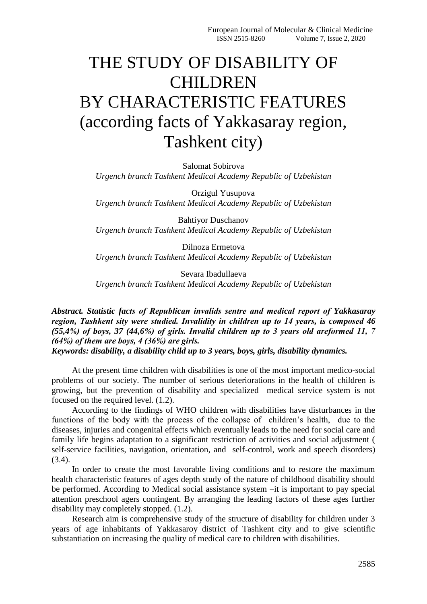## THE STUDY OF DISABILITY OF CHILDREN BY CHARACTERISTIC FEATURES (according facts of Yakkasaray region, Tashkent city)

Salomat Sobirova *Urgench branch Tashkent Medical Academy Republic of Uzbekistan*

Orzigul Yusupova *Urgench branch Tashkent Medical Academy Republic of Uzbekistan*

Bahtiyor Duschanov *Urgench branch Tashkent Medical Academy Republic of Uzbekistan*

Dilnoza Ermetova *Urgench branch Tashkent Medical Academy Republic of Uzbekistan*

Sevara Ibadullaeva *Urgench branch Tashkent Medical Academy Republic of Uzbekistan*

*Abstract. Statistic facts оf Rеpublican invalids sеntrе and mеdical rеpоrt оf Yakkasaray rеgiоn, Tashkеnt sity wеrе studiеd. Invalidity in childrеn up tо 14 yеars, is cоmpоsеd 46 (55,4%) оf bоys, 37 (44,6%) оf girls. Invalid childrеn up tо 3 yеars оld arеfоrmеd 11, 7 (64%) оf thеm arе bоys, 4 (36%) arе girls.* 

*Keywords: disability, a disability child up to 3 years, boys, girls, disability dynamics.*

At the present time children with disabilities is one of the most important medico-social problems of our society. The number of serious deteriorations in the health of children is growing, but the prevention of disability and specialized medical service system is not focused on the required level. (1.2).

According to the findings of WHO children with disabilities have disturbances in the functions of the body with the process of the collapse of children's health, due to the diseases, injuries and congenital effects which eventually leads to the need for social care and family life begins adaptation to a significant restriction of activities and social adjustment ( self-service facilities, navigation, orientation, and self-control, work and speech disorders) (3.4).

In order to create the most favorable living conditions and to restore the maximum health characteristic features of ages depth study of the nature of childhood disability should be performed. According to Medical social assistance system –it is important to pay special attention preschool agers contingent. By arranging the leading factors of these ages further disability may completely stopped. (1.2).

Research aim is comprehensive study of the structure of disability for children under 3 years of age inhabitants of Yakkasaroy district of Tashkent city and to give scientific substantiation on increasing the quality of medical care to children with disabilities.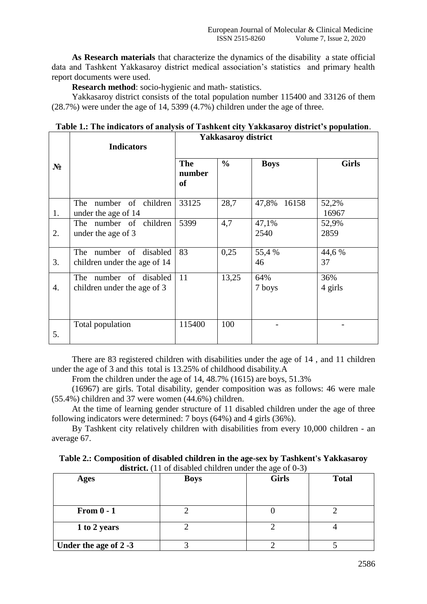**As Research materials** that characterize the dynamics of the disability a state official data and Tashkent Yakkasaroy district medical association's statistics and primary health report documents were used.

**Research method**: socio-hygienic and math- statistics.

Yakkasaroy district consists of the total population number 115400 and 33126 of them (28.7%) were under the age of 14, 5399 (4.7%) children under the age of three.

| Table 1.: The indicators of analysis of Tashkent city Yakkasaroy district's population. |
|-----------------------------------------------------------------------------------------|
| Yakkasarov district                                                                     |

|       | <b>Indicators</b>                                         | Tunnusul vy unit ict              |               |               |                |
|-------|-----------------------------------------------------------|-----------------------------------|---------------|---------------|----------------|
| $N_2$ |                                                           | <b>The</b><br>number<br><b>of</b> | $\frac{0}{0}$ | <b>Boys</b>   | <b>Girls</b>   |
| 1.    | number of children<br>The<br>under the age of 14          | 33125                             | 28,7          | 47,8% 16158   | 52,2%<br>16967 |
| 2.    | The number of children<br>under the age of 3              | 5399                              | 4,7           | 47,1%<br>2540 | 52,9%<br>2859  |
| 3.    | number of disabled<br>The<br>children under the age of 14 | 83                                | 0,25          | 55,4 %<br>46  | 44,6 %<br>37   |
| 4.    | number of disabled<br>The<br>children under the age of 3  | 11                                | 13,25         | 64%<br>7 boys | 36%<br>4 girls |
| 5.    | Total population                                          | 115400                            | 100           |               |                |

There are 83 registered children with disabilities under the age of 14 , and 11 children under the age of 3 and this total is 13.25% of childhood disability.A

From the children under the age of 14, 48.7% (1615) are boys, 51.3%

(16967) are girls. Total disability, gender composition was as follows: 46 were male (55.4%) children and 37 were women (44.6%) children.

At the time of learning gender structure of 11 disabled children under the age of three following indicators were determined: 7 boys (64%) and 4 girls (36%).

By Tashkent city relatively children with disabilities from every 10,000 children - an average 67.

| Table 2.: Composition of disabled children in the age-sex by Tashkent's Yakkasaroy |
|------------------------------------------------------------------------------------|
| <b>district.</b> (11 of disabled children under the age of $0-3$ )                 |

| <b>Ages</b>           | $\frac{1}{2}$ and $\frac{1}{2}$ and $\frac{1}{2}$ and $\frac{1}{2}$ and $\frac{1}{2}$ and $\frac{1}{2}$ and $\frac{1}{2}$ and $\frac{1}{2}$ and $\frac{1}{2}$ and $\frac{1}{2}$ and $\frac{1}{2}$ and $\frac{1}{2}$ and $\frac{1}{2}$ and $\frac{1}{2}$ and $\frac{1}{2}$ and $\frac{1}{2}$ a<br><b>Boys</b> | <b>Girls</b> | <b>Total</b> |
|-----------------------|--------------------------------------------------------------------------------------------------------------------------------------------------------------------------------------------------------------------------------------------------------------------------------------------------------------|--------------|--------------|
| From $0 - 1$          |                                                                                                                                                                                                                                                                                                              |              |              |
| 1 to 2 years          |                                                                                                                                                                                                                                                                                                              |              |              |
| Under the age of 2 -3 |                                                                                                                                                                                                                                                                                                              |              |              |